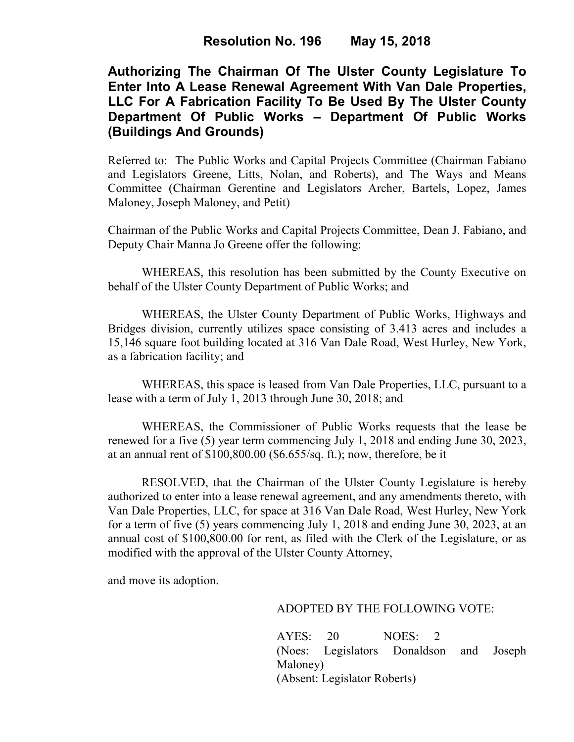## **Authorizing The Chairman Of The Ulster County Legislature To Enter Into A Lease Renewal Agreement With Van Dale Properties, LLC For A Fabrication Facility To Be Used By The Ulster County Department Of Public Works – Department Of Public Works (Buildings And Grounds)**

Referred to: The Public Works and Capital Projects Committee (Chairman Fabiano and Legislators Greene, Litts, Nolan, and Roberts), and The Ways and Means Committee (Chairman Gerentine and Legislators Archer, Bartels, Lopez, James Maloney, Joseph Maloney, and Petit)

Chairman of the Public Works and Capital Projects Committee, Dean J. Fabiano, and Deputy Chair Manna Jo Greene offer the following:

WHEREAS, this resolution has been submitted by the County Executive on behalf of the Ulster County Department of Public Works; and

 WHEREAS, the Ulster County Department of Public Works, Highways and Bridges division, currently utilizes space consisting of 3.413 acres and includes a 15,146 square foot building located at 316 Van Dale Road, West Hurley, New York, as a fabrication facility; and

 WHEREAS, this space is leased from Van Dale Properties, LLC, pursuant to a lease with a term of July 1, 2013 through June 30, 2018; and

 WHEREAS, the Commissioner of Public Works requests that the lease be renewed for a five (5) year term commencing July 1, 2018 and ending June 30, 2023, at an annual rent of \$100,800.00 (\$6.655/sq. ft.); now, therefore, be it

 RESOLVED, that the Chairman of the Ulster County Legislature is hereby authorized to enter into a lease renewal agreement, and any amendments thereto, with Van Dale Properties, LLC, for space at 316 Van Dale Road, West Hurley, New York for a term of five (5) years commencing July 1, 2018 and ending June 30, 2023, at an annual cost of \$100,800.00 for rent, as filed with the Clerk of the Legislature, or as modified with the approval of the Ulster County Attorney,

and move its adoption.

## ADOPTED BY THE FOLLOWING VOTE:

AYES: 20 NOES: 2 (Noes: Legislators Donaldson and Joseph Maloney) (Absent: Legislator Roberts)